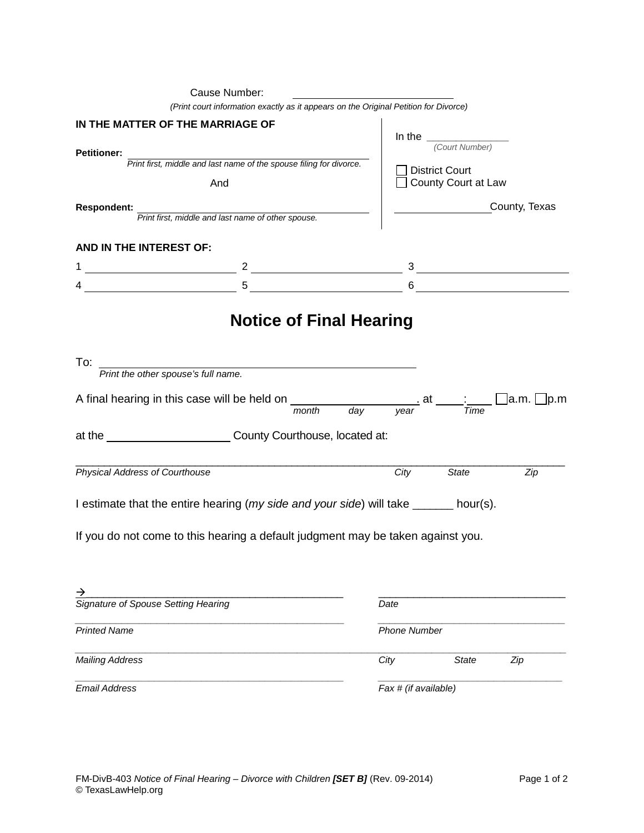|                                                        | Cause Number:                                                                                                                                                                                                                                                                                                       |                                                                           |                                              |               |  |
|--------------------------------------------------------|---------------------------------------------------------------------------------------------------------------------------------------------------------------------------------------------------------------------------------------------------------------------------------------------------------------------|---------------------------------------------------------------------------|----------------------------------------------|---------------|--|
|                                                        | (Print court information exactly as it appears on the Original Petition for Divorce)                                                                                                                                                                                                                                |                                                                           |                                              |               |  |
| IN THE MATTER OF THE MARRIAGE OF<br><b>Petitioner:</b> |                                                                                                                                                                                                                                                                                                                     |                                                                           | In the $\frac{1}{\sqrt{3}}$ (Court Number)   |               |  |
|                                                        | Print first, middle and last name of the spouse filing for divorce.                                                                                                                                                                                                                                                 |                                                                           |                                              |               |  |
| And                                                    |                                                                                                                                                                                                                                                                                                                     |                                                                           | <b>District Court</b><br>County Court at Law |               |  |
| <b>Respondent:</b>                                     | Print first, middle and last name of other spouse.                                                                                                                                                                                                                                                                  |                                                                           |                                              | County, Texas |  |
| AND IN THE INTEREST OF:                                |                                                                                                                                                                                                                                                                                                                     |                                                                           |                                              |               |  |
|                                                        | $\frac{2}{1}$ $\frac{3}{1}$ $\frac{3}{1}$ $\frac{3}{1}$ $\frac{3}{1}$ $\frac{3}{1}$ $\frac{3}{1}$ $\frac{3}{1}$ $\frac{3}{1}$ $\frac{3}{1}$ $\frac{3}{1}$ $\frac{3}{1}$ $\frac{3}{1}$ $\frac{3}{1}$ $\frac{3}{1}$ $\frac{3}{1}$ $\frac{3}{1}$ $\frac{3}{1}$ $\frac{3}{1}$ $\frac{3}{1}$ $\frac{3}{1}$ $\frac{3}{1}$ |                                                                           |                                              |               |  |
|                                                        | $4 \overline{)}$ 5                                                                                                                                                                                                                                                                                                  |                                                                           |                                              |               |  |
|                                                        | <b>Notice of Final Hearing</b>                                                                                                                                                                                                                                                                                      |                                                                           |                                              |               |  |
| To:                                                    | Print the other spouse's full name.                                                                                                                                                                                                                                                                                 |                                                                           |                                              |               |  |
|                                                        | A final hearing in this case will be held on ________                                                                                                                                                                                                                                                               | $\frac{1}{\text{month}}$ day year $\frac{1}{\text{Time}}$ a.m. $\Box$ p.m |                                              |               |  |
|                                                        | at the _____________________________County Courthouse, located at:                                                                                                                                                                                                                                                  |                                                                           |                                              |               |  |
| Physical Address of Courthouse                         |                                                                                                                                                                                                                                                                                                                     | City                                                                      | State                                        | Zip           |  |
|                                                        | I estimate that the entire hearing (my side and your side) will take ______ hour(s).                                                                                                                                                                                                                                |                                                                           |                                              |               |  |
|                                                        | If you do not come to this hearing a default judgment may be taken against you.                                                                                                                                                                                                                                     |                                                                           |                                              |               |  |
| <u> →</u>                                              |                                                                                                                                                                                                                                                                                                                     | Date                                                                      |                                              |               |  |
| Signature of Spouse Setting Hearing                    |                                                                                                                                                                                                                                                                                                                     |                                                                           |                                              |               |  |
| <b>Printed Name</b>                                    |                                                                                                                                                                                                                                                                                                                     |                                                                           | <b>Phone Number</b>                          |               |  |
| <b>Mailing Address</b>                                 |                                                                                                                                                                                                                                                                                                                     | City                                                                      | <b>State</b>                                 | Zip           |  |
| <b>Email Address</b>                                   |                                                                                                                                                                                                                                                                                                                     |                                                                           | Fax # (if available)                         |               |  |